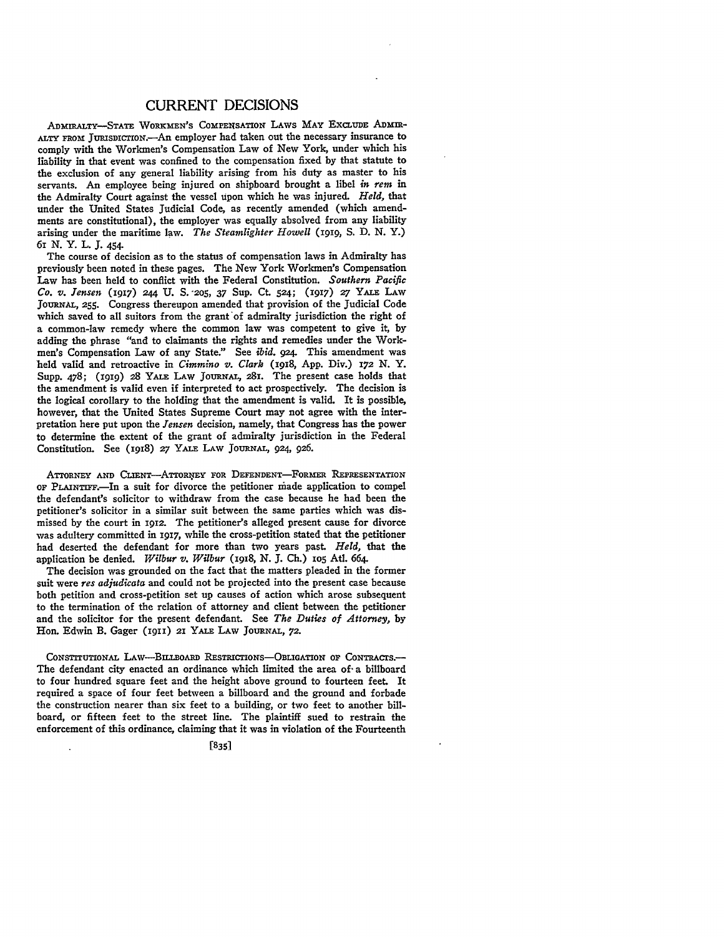## CURRENT **DECISIONS**

ADmIRALTY-STATE WORKMEN'S ComPEmsATIoN LAWS MAY EXCLUDE ADMm-ALTY FROM JURISDICTION.-An employer had taken out the necessary insurance to comply with the Workmen's Compensation Law of New York, under which his liability in that event was confined to the compensation fixed **by** that statute to the exclusion of any general liability arising from his duty as master to his servants. An employee being injured on shipboard brought a libel *in rem* in the Admiralty Court against the vessel upon which he was injured. *Held,* that under the United States Judicial Code, as recently amended (which amendments are constitutional), the employer was equally absolved from any liability arising under the maritime law. *The Steamlighter Howell* (1gig, **S. D. N.** Y.) 61 **N.** Y. **L. J.** 454.

The course of decision as to the status of compensation laws in Admiralty has previously been noted in these pages. The New York Workmen's Compensation Law has been held to conflict with the Federal Constitution. *Southern Pacific Co. v. Jensen* **(1917)** 244 **U. S. "205,** 37 Sup. Ct. **524; (1917)** *27* YALE LAW **JoURNAL, 255.** Congress thereupon amended that provision of the Judicial Code which saved to all suitors from the grant'of admiralty jurisdiction the right of a common-law remedy where the common law was competent to give it, by adding the phrase "and to claimants the rights and remedies under the Workmen's Compensation Law of any State." See *ibid. 924.* This amendment was held valid and retroactive in *Cimmino v. Clark* (I918, App. Div.) **172 N.** Y. Supp. 478; (1919) 28 YALE LAW JOURNAL, 281. The present case holds that the amendment is valid even if interpreted to act prospectively. The decision is the logical corollary to the holding that the amendment is valid. It is possible, however, that the United States Supreme Court may not agree with the interpretation here put upon the *Jensen* decision, namely, that Congress has the power to determine the extent of the grant of admiralty jurisdiction in the Federal Constitution. See (I918) **27** YALE LAW **JOURNAL, 924, 926.**

ATTORNEY AND CLIENT-ATTORNEY FOR DEFENDENT-FORMER REPRESENTATION **OF PLAINTIFF.In** a suit for divorce the petitioner miade application to compel the defendant's solicitor to withdraw from the case because he had been the petitioner's solicitor in a similar suit between the same parties which was dismissed by the court in **1912.** The petitioner's alleged present cause for divorce was adultery committed in 1917, while the cross-petition stated that the petitioner had deserted the defendant for more than two years past. *Held,* that the application be denied. *Wilbur v. Wilbur* (i918, **N. J.** Ch.) **io5** At. 664.

The decision was grounded on the fact that the matters pleaded in the former suit were *res adjudicata* and could not be projected into the present case because both petition and cross-petition set up causes of action which arose subsequent to the termination of the relation of attorney and client between the petitioner and the solicitor for the present defendant. See *The Duties of Attorney,* **by** Hon. Edwin B. Gager (1911) 21 YALE LAW JOURNAL, 72.

**CONSTITUTIONAL LAw-BI.LBOARD REsTRICTIONS-OBLIGATION OF CoNTRACTS.-** The defendant city enacted an ordinance which limited the area of a billboard to four hundred square feet and the height above ground to fourteen feet. It required a space of four feet between a billboard and the ground and forbade the construction nearer than six feet to a building, or two feet to another billboard, or fifteen feet to the street line. The plaintiff sued to restrain the enforcement of this ordinance, claiming that it was in violation of the Fourteenth

[8351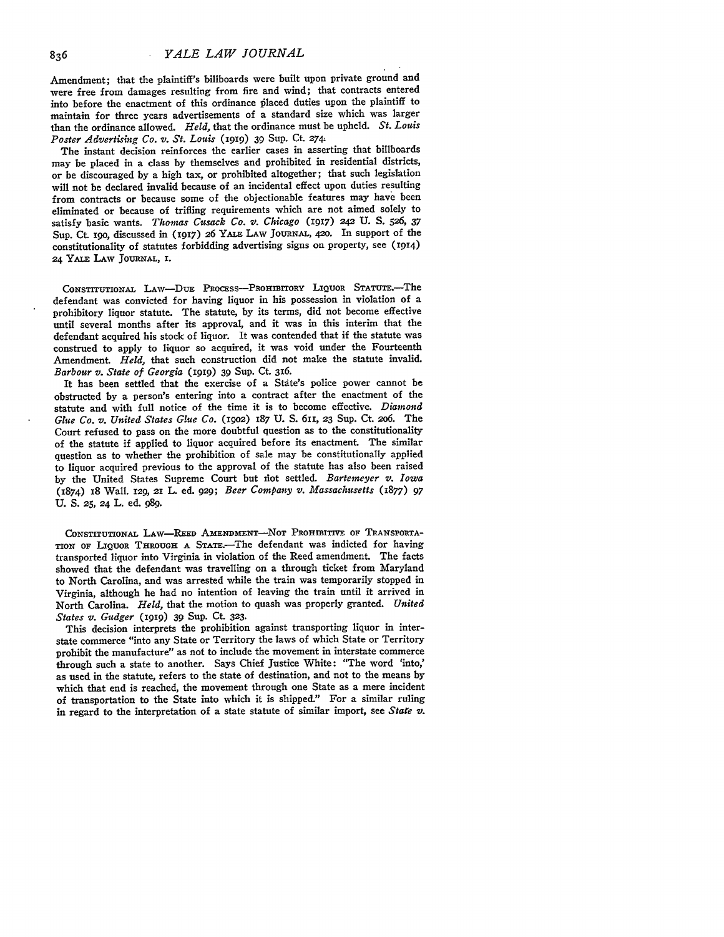Amendment; that the plaintiff's billboards were built upon private ground and were free from damages resulting from fire and wind; that contracts entered into before the enactment of this ordinance placed duties upon the plaintiff to maintain for three years advertisements of a standard size which was larger than the ordinance allowed. *Held,* that the ordinance must be upheld. *St. Louis Poster Advertising Co. v. St. Louis* (1919) 39 Sup. Ct. 274.

The instant decision reinforces the earlier cases in asserting that billboards may be placed in a class by themselves and prohibited in residential districts, or be discouraged by a high tax, or prohibited altogether; that such legislation will not be declared invalid because of an incidental effect upon duties resulting from contracts or because some of the objectionable features may have been eliminated or because of trifling requirements which are not aimed solely to satisfy basic wants. *Thomas Cusack Co. v. Chicago* (1917) 242 U. S. 526, 37 Sup. Ct. 19o, discussed in (1917) 26 YALE LAW **JOURNAL,** 42o. In support of the constitutionality of statutes forbidding advertising signs on property, see (1914) 24 YALE LAW JoURNAL, **I.**

CONSTITUTIONAL LAW-DUE PROCESS-PROHIBITORY LIQUOR STATUTE.-The defendant was convicted for having liquor in his possession in violation of a prohibitory liquor statute. The statute, by its terms, did not become effective until several months after its approval, and it was in this interim that the defendant acquired his stock of liquor. It was contended that if the statute was construed to apply to liquor so acquired, it was void under the Fourteenth Amendment. *Held,* that such construction did not make the statute invalid. *Barbour v. State of Georgia* (1919) 39 Sup. Ct. 316.

It has been settled that the exercise of a State's police power cannot be obstructed by a person's entering into a contract after the enactment of the statute and with full notice of the time it is to become effective. *Diamond Glue Co. v. United States Glue Co.* (19o2) 187 **U. S.** 611, **23** Sup. Ct. 2o6. The Court refused to pass on the more doubtful question as to the constitutionality of the statute if applied to liquor acquired before its enactment. The similar question as to whether the prohibition of sale may be constitutionally applied to liquor acquired previous to the approval of the statute has also been raised by the United States Supreme Court but iot settled. *Bartemeyer v. Iowa* (1874) 18 Wall. 129, 21 L. ed. 929; *Beer Company v. Massachusetts* (1877) 97 U. **S.** *25,* 24 L. ed. **989.**

CONSTITUTIONAL LAW-REED AMENDMENT-NOT PROHIBITIVE OF TRANSPORTA-TION **OF** LIQUOR **THROUGH A** STAr.-The defendant was indicted for having transported liquor into Virginia in violation of the Reed amendment. The facts showed that the defendant was travelling on a through ticket from Maryland to North Carolina, and was arrested while the train was temporarily stopped in Virginia, although he had no intention of leaving the train until it arrived in North Carolina. *Held,* that the motion to quash was properly granted. *United States v. Gudger* **(1919)** 39 Sup. **Ct. 323.**

This decision interprets the prohibition against transporting liquor in interstate commerce "into any State or Territory the laws of which State or Territory prohibit the manufacture" as not to include the movement in interstate commerce through such a state to another. Says Chief Justice White: "The word 'into,' as used in the statute, refers to the state of destination, and not to the means **by** which that end is reached, the movement through one State as a mere incident of transportation to the State into which it is shipped." For a similar ruling in regard to the interpretation of a state statute of similar import, see *Stare* **v.**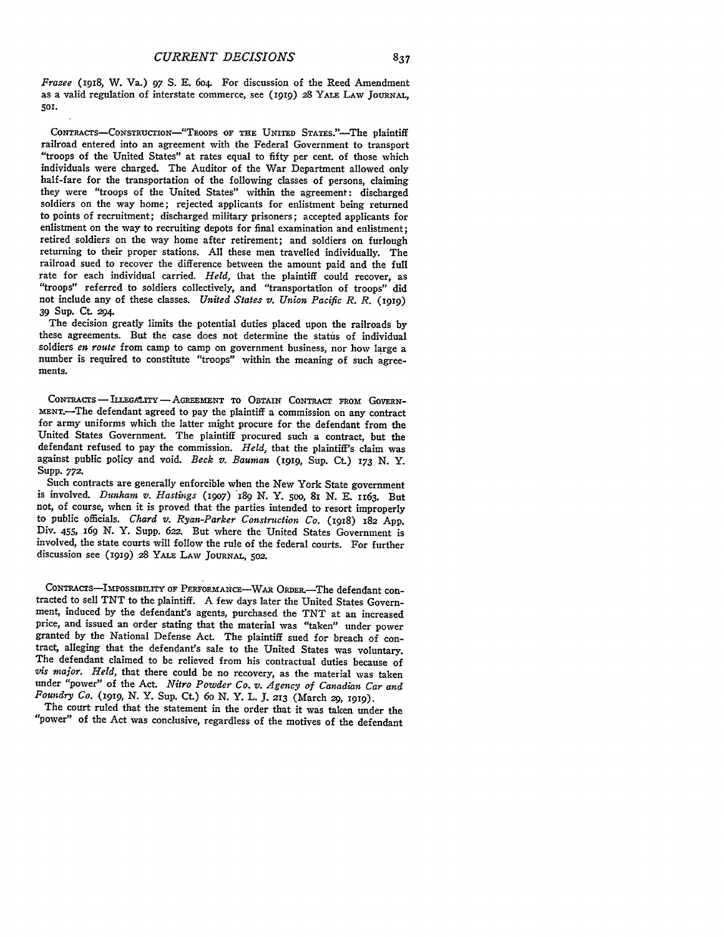*Frazee* (1918, W. Va.) 97 S. **E.** 6o4. For discussion of the Reed Amendment as a valid regulation of interstate commerce, see (igig) **28** YALE LAW **JOURNAL, 501.**

**CONTRACTS-CONSTRUCTION--"TRooPs OF THE UNITED STATE."-The plaintiff** railroad entered into an agreement with the Federal Government to transport "troops of the United States" at rates equal to fifty per cent. of those which individuals were charged. The Auditor of the War Department allowed only half-fare for the transportation of the following classes of persons, claiming they were "troops of the United States" within the agreement: discharg soldiers on the way home; rejected applicants for enlistment being returned to points of recruitment; discharged military prisoners; accepted applicants for enlistment on the way to recruiting depots for final examination and enlistment; retired soldiers on the way home after retirement; and soldiers on furlough returning to their proper stations. **All** these men travelled individually. The railroad sued to recover the difference between the amount paid and the full rate for each individual carried. *Held,* that the plaintiff could recover, as "troops" referred to soldiers collectively, and "transportation of troops" did not include any of these classes. *United States v. Union Pacific R. R.* (1010) **39** Sup. Ct. *294.*

The decision greatly limits the potential duties placed upon the railroads **by** these agreements. But the case does not determine the status of individual soldiers *en route* from camp to camp on government business, nor how large a number is required to constitute "troops" within the meaning of such agreements.

CONTRACTS **- ILLEGAiTY -** AGREEMENT TO OBTAIN CONTRACT FROM GOVERN-MENT.-The defendant agreed to pay the plaintiff a commission on any contract for army uniforms which the latter might procure for the defendant from the United States Government. The plaintiff procured such a contract, but the defendant refused to pay the commission. *Held,* that the plaintiff's claim was against public policy and void. *Beck v. Bauman* **(1919,** Sup. Ct) 173 *N.* Y. Supp. **772.**

Such contracts are generally enforcible when the New York State government is involved. *Dunham v. Hastings* (19o7) 189 *N.* Y. 5oo, 8I *N.* E. 1163. But not, of course, when it is proved that the parties intended to resort improperly to public officials. *Chard v. Ryan-Parker Construction Co.* (1918) 182 **App.** Div. 455, 169 *N.* Y. Supp. 622. But where the United States Government is involved, the state courts will follow the rule of the federal courts. For further discussion see (1919) <sup>28</sup> YALE LAW JOURNAL, 502.

CONTRACTS-IMPOSSIBILITY OF PERFORMANCE-WAR ORDER.-The defendant contracted to sell TNT to the plaintiff. A few days later the United States Government, induced by the defendant's agents, purchased the **TNT** at an increased price, and issued an order stating that the material was "taken" under power granted by the National Defense Act. The plaintiff sued for breach of con- tract, alleging that the defendant's sale to the United States was voluntary. The defendant claimed to be relieved from his contractual duties because of *Vis major. Held,* that there could be no recovery, as the material was taken under "power" of the Act. *Nitro Powder Co. v. Agency of Canadian Car and Foundry Co.* **(1919,** *N.* Y. Sup. Ct.) 6o *N.* Y. L. **J.** *213* (March 29, **I919).**

The court ruled that the statement in the order that it was taken under the "power" of the Act was conclusive, regardless of the motives of the defendant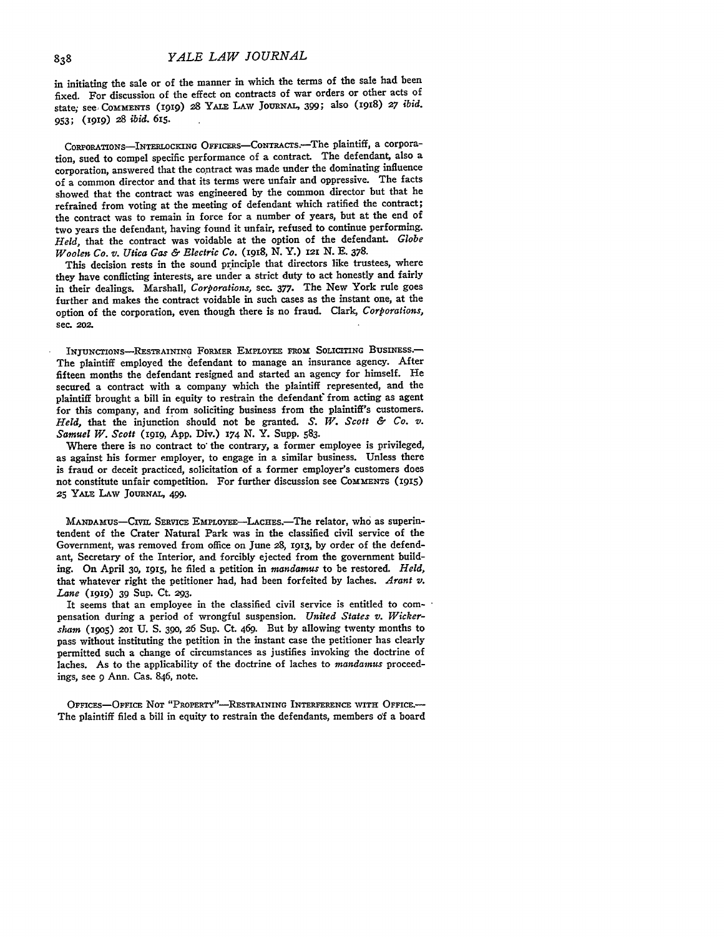in initiating the sale or of the manner in which the terms of the sale had been fixed. For discussion of the effect on contracts of war orders or other acts of state; see COMMENTS (1919) 28 YALE LAW JOURNAL, 399; also (1918) 27 *ibid.* 953; (g99) *28 ibid.* 615.

CORPORATIONS-INTERLOCKING OFFICERS-CONTRACTS.-The plaintiff, a corporation, sued to compel specific performance of a contract. The defendant, also a corporation, answered that the contract was made under the dominating influence of a common director and that its terms were unfair and oppressive. The facts showed that the contract was engineered by the common director but that he refrained from voting at the meeting of defendant which ratified the contract; the contract was to remain in force for a number of years, but at the end of two years the defendant, having found it unfair, refused to continue performing. *Held,* that the contract was voidable at the option of the defendant. *Globe Woolen Co. v. Utica Gas & Electric Co. (1918,* **N.** Y.) **121 N. E. 378.**

This decision rests in the sound principle that directors like trustees, where they have conflicting interests, are under a strict duty to act honestly and fairly in their dealings. Marshall, *Corporations,* sec. 377. The New York rule goes further and makes the contract voidable in such cases as the instant one, at the option of the corporation, even though there is no fraud. Clark, *Corporations,* sec. **202.**

INjUNcTIoNS--RESTRAINING FORMER **EMPLOYEE FROM SOLICITING BusiNEss.** The plaintiff employed the defendant to manage an insurance agency. After fifteen months the defendant resigned and started an agency for himself. He secured a contract with a company which the plaintiff represented, and the plaintiff brought a bill in equity to restrain the defendanf from acting as agent for this company, and from soliciting business from the plaintiff's customers. *Held,* that the injunction should not be granted. *S. W. Scott & Co. v. Samuel W. Scott* **(i919, App.** Div.) *x74* N. Y. Supp. 583.

Where there is no contract to the contrary, a former employee is privileged, as against his former employer, to engage in a similar business. Unless there is fraud or deceit practiced, solicitation of a former employer's customers does not constitute unfair competition. For further discussion see **COMMENTS (1915) 25** YALE LAW JouRNAL, 499.

**MANDAMUS-CNIL** SERVICE EMPLOYEE-LACHEs.-The relator, who as superintendent of the Crater Natural Park was in the classified civil service of the Government, was removed from office on June 28, **1913,** by order of the defendant, Secretary of the Interior, and forcibly ejected from the government building. On April 30, **1915,** he filed a petition in *mandamus* to be restored. *Held,* that whatever right the petitioner had, had been forfeited by laches. *Arant v. Lane* (1919) 39 Sup. Ct. **293.**

It seems that an employee in the classified civil service is entitled to compensation during a period of wrongful suspension. *United States v. Wickersham* (i9o5) 2oI U. **S. 390,** 26 Sup. Ct. 469. But by allowing twenty months to pass without instituting the petition in the instant case the petitioner has clearly permitted such a change of circumstances as justifies invoking the doctrine of laches. As to the applicability of the doctrine of laches to *mandamus* proceedings, see 9 Ann. Cas. 846, note.

OFFIcEs-OFFICE NOT "PROPERTY"--RESTRAINING **INTERFERENCE WITH OFFICE.-** The plaintiff filed a bill in equity to restrain the defendants, members **of** a board

838